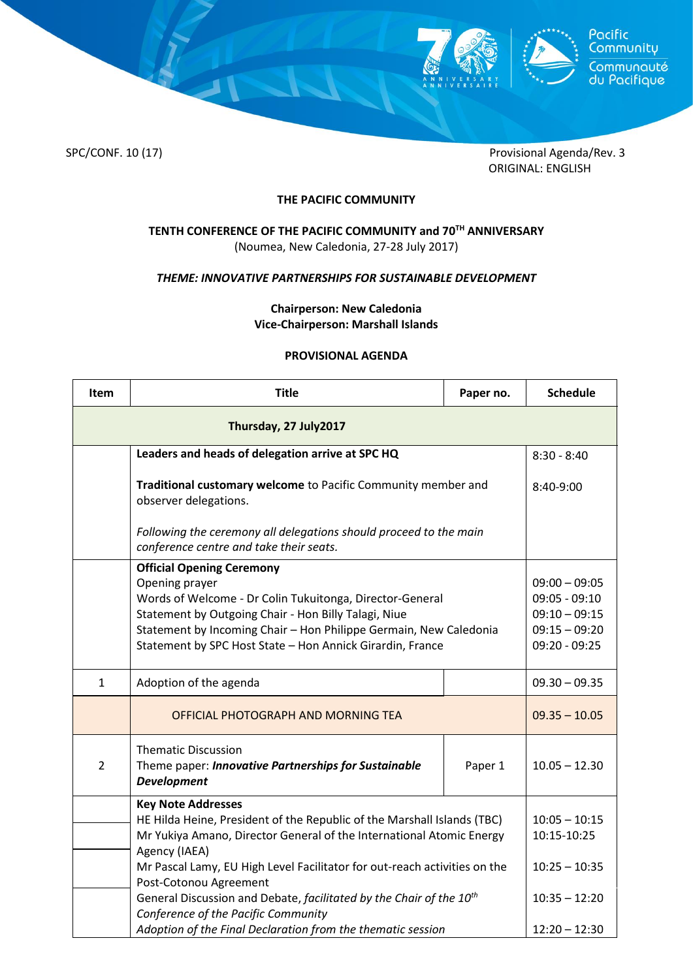



SPC/CONF. 10 (17) Provisional Agenda/Rev. 3 ORIGINAL: ENGLISH

# **THE PACIFIC COMMUNITY**

## **TENTH CONFERENCE OF THE PACIFIC COMMUNITY and 70TH ANNIVERSARY** (Noumea, New Caledonia, 27-28 July 2017)

#### *THEME: INNOVATIVE PARTNERSHIPS FOR SUSTAINABLE DEVELOPMENT*

### **Chairperson: New Caledonia Vice-Chairperson: Marshall Islands**

#### **PROVISIONAL AGENDA**

| Item                  | <b>Title</b>                                                                                                                                                                                                                                                                                             | Paper no.                                                                                   | <b>Schedule</b>                |  |  |
|-----------------------|----------------------------------------------------------------------------------------------------------------------------------------------------------------------------------------------------------------------------------------------------------------------------------------------------------|---------------------------------------------------------------------------------------------|--------------------------------|--|--|
| Thursday, 27 July2017 |                                                                                                                                                                                                                                                                                                          |                                                                                             |                                |  |  |
|                       | Leaders and heads of delegation arrive at SPC HQ                                                                                                                                                                                                                                                         | $8:30 - 8:40$                                                                               |                                |  |  |
|                       | Traditional customary welcome to Pacific Community member and<br>observer delegations.                                                                                                                                                                                                                   | 8:40-9:00                                                                                   |                                |  |  |
|                       | Following the ceremony all delegations should proceed to the main<br>conference centre and take their seats.                                                                                                                                                                                             |                                                                                             |                                |  |  |
|                       | <b>Official Opening Ceremony</b><br>Opening prayer<br>Words of Welcome - Dr Colin Tukuitonga, Director-General<br>Statement by Outgoing Chair - Hon Billy Talagi, Niue<br>Statement by Incoming Chair - Hon Philippe Germain, New Caledonia<br>Statement by SPC Host State - Hon Annick Girardin, France | $09:00 - 09:05$<br>$09:05 - 09:10$<br>$09:10 - 09:15$<br>$09:15 - 09:20$<br>$09:20 - 09:25$ |                                |  |  |
| $\mathbf{1}$          | Adoption of the agenda                                                                                                                                                                                                                                                                                   |                                                                                             | $09.30 - 09.35$                |  |  |
|                       | OFFICIAL PHOTOGRAPH AND MORNING TEA                                                                                                                                                                                                                                                                      |                                                                                             | $09.35 - 10.05$                |  |  |
| $\overline{2}$        | <b>Thematic Discussion</b><br>Theme paper: Innovative Partnerships for Sustainable<br><b>Development</b>                                                                                                                                                                                                 | Paper 1                                                                                     | $10.05 - 12.30$                |  |  |
|                       | <b>Key Note Addresses</b><br>HE Hilda Heine, President of the Republic of the Marshall Islands (TBC)<br>Mr Yukiya Amano, Director General of the International Atomic Energy<br>Agency (IAEA)<br>Mr Pascal Lamy, EU High Level Facilitator for out-reach activities on the<br>Post-Cotonou Agreement     |                                                                                             | $10:05 - 10:15$<br>10:15-10:25 |  |  |
|                       |                                                                                                                                                                                                                                                                                                          |                                                                                             | $10:25 - 10:35$                |  |  |
|                       | General Discussion and Debate, facilitated by the Chair of the 10 <sup>th</sup><br>Conference of the Pacific Community                                                                                                                                                                                   | $10:35 - 12:20$                                                                             |                                |  |  |
|                       | Adoption of the Final Declaration from the thematic session                                                                                                                                                                                                                                              |                                                                                             | $12:20 - 12:30$                |  |  |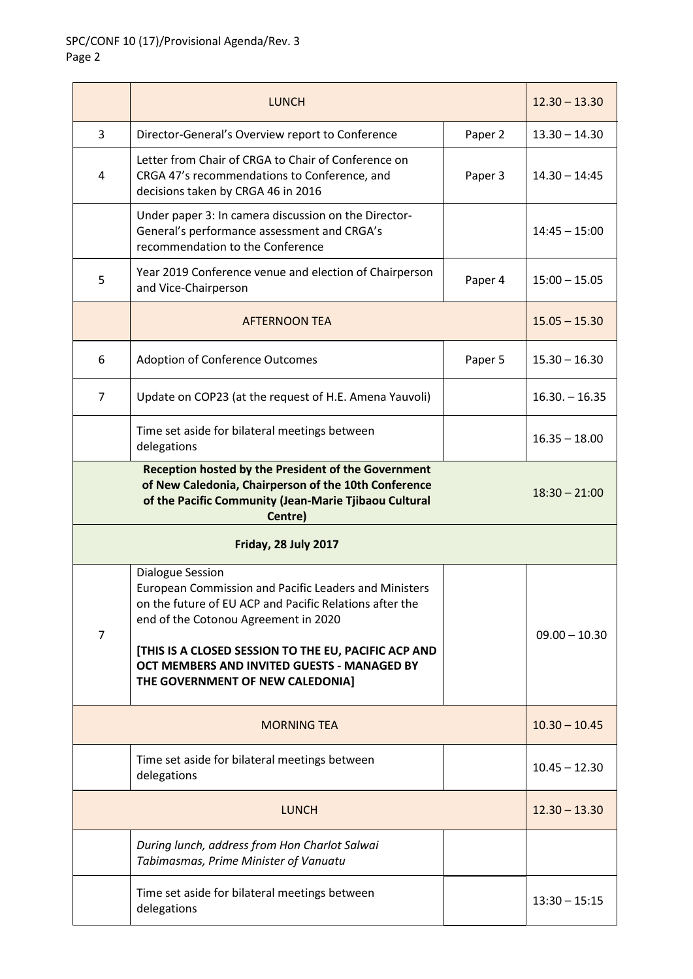|                      | <b>LUNCH</b>                                                                                                                                                                                                                                                                                                            |         | $12.30 - 13.30$ |  |  |
|----------------------|-------------------------------------------------------------------------------------------------------------------------------------------------------------------------------------------------------------------------------------------------------------------------------------------------------------------------|---------|-----------------|--|--|
| 3                    | Director-General's Overview report to Conference                                                                                                                                                                                                                                                                        | Paper 2 | $13.30 - 14.30$ |  |  |
| 4                    | Letter from Chair of CRGA to Chair of Conference on<br>CRGA 47's recommendations to Conference, and<br>decisions taken by CRGA 46 in 2016                                                                                                                                                                               | Paper 3 | $14.30 - 14:45$ |  |  |
|                      | Under paper 3: In camera discussion on the Director-<br>General's performance assessment and CRGA's<br>recommendation to the Conference                                                                                                                                                                                 |         | $14:45 - 15:00$ |  |  |
| 5                    | Year 2019 Conference venue and election of Chairperson<br>and Vice-Chairperson                                                                                                                                                                                                                                          | Paper 4 | $15:00 - 15.05$ |  |  |
|                      | <b>AFTERNOON TEA</b>                                                                                                                                                                                                                                                                                                    |         | $15.05 - 15.30$ |  |  |
| 6                    | <b>Adoption of Conference Outcomes</b>                                                                                                                                                                                                                                                                                  | Paper 5 | $15.30 - 16.30$ |  |  |
| $\overline{7}$       | Update on COP23 (at the request of H.E. Amena Yauvoli)                                                                                                                                                                                                                                                                  |         | $16.30 - 16.35$ |  |  |
|                      | Time set aside for bilateral meetings between<br>delegations                                                                                                                                                                                                                                                            |         | $16.35 - 18.00$ |  |  |
|                      | Reception hosted by the President of the Government<br>of New Caledonia, Chairperson of the 10th Conference<br>of the Pacific Community (Jean-Marie Tjibaou Cultural<br>Centre)                                                                                                                                         |         | $18:30 - 21:00$ |  |  |
| Friday, 28 July 2017 |                                                                                                                                                                                                                                                                                                                         |         |                 |  |  |
| 7                    | Dialogue Session<br>European Commission and Pacific Leaders and Ministers<br>on the future of EU ACP and Pacific Relations after the<br>end of the Cotonou Agreement in 2020<br>[THIS IS A CLOSED SESSION TO THE EU, PACIFIC ACP AND<br>OCT MEMBERS AND INVITED GUESTS - MANAGED BY<br>THE GOVERNMENT OF NEW CALEDONIA] |         | $09.00 - 10.30$ |  |  |
| <b>MORNING TEA</b>   |                                                                                                                                                                                                                                                                                                                         |         | $10.30 - 10.45$ |  |  |
|                      | Time set aside for bilateral meetings between<br>delegations                                                                                                                                                                                                                                                            |         | $10.45 - 12.30$ |  |  |
| <b>LUNCH</b>         |                                                                                                                                                                                                                                                                                                                         |         | $12.30 - 13.30$ |  |  |
|                      | During lunch, address from Hon Charlot Salwai<br>Tabimasmas, Prime Minister of Vanuatu                                                                                                                                                                                                                                  |         |                 |  |  |
|                      | Time set aside for bilateral meetings between<br>delegations                                                                                                                                                                                                                                                            |         | $13:30 - 15:15$ |  |  |